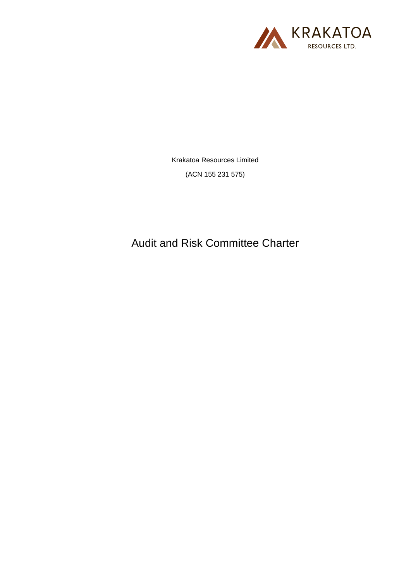

Krakatoa Resources Limited

(ACN 155 231 575)

Audit and Risk Committee Charter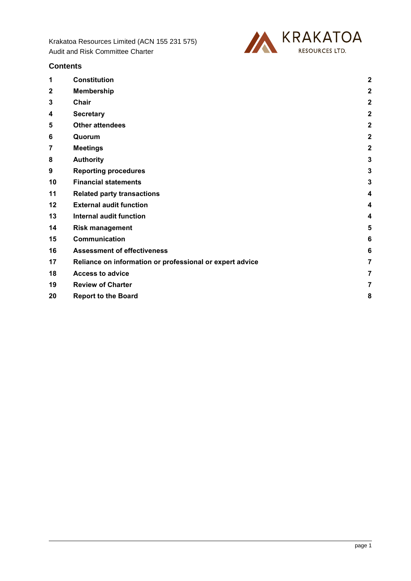

| <b>Contents</b> |  |
|-----------------|--|
|-----------------|--|

| 1            | <b>Constitution</b>                                      | $\overline{2}$ |
|--------------|----------------------------------------------------------|----------------|
| $\mathbf{2}$ | <b>Membership</b>                                        | $\overline{a}$ |
| 3            | <b>Chair</b>                                             | $\overline{a}$ |
| 4            | <b>Secretary</b>                                         | $\overline{2}$ |
| 5            | <b>Other attendees</b>                                   | $\overline{a}$ |
| 6            | Quorum                                                   | $\overline{2}$ |
| 7            | <b>Meetings</b>                                          | $\overline{2}$ |
| 8            | <b>Authority</b>                                         | 3              |
| 9            | <b>Reporting procedures</b>                              | 3              |
| 10           | <b>Financial statements</b>                              | 3              |
| 11           | <b>Related party transactions</b>                        | 4              |
| 12           | <b>External audit function</b>                           | 4              |
| 13           | <b>Internal audit function</b>                           | 4              |
| 14           | <b>Risk management</b>                                   | 5              |
| 15           | Communication                                            | 6              |
| 16           | <b>Assessment of effectiveness</b>                       | 6              |
| 17           | Reliance on information or professional or expert advice | 7              |
| 18           | <b>Access to advice</b>                                  | 7              |
| 19           | <b>Review of Charter</b>                                 | 7              |
| 20           | <b>Report to the Board</b>                               | 8              |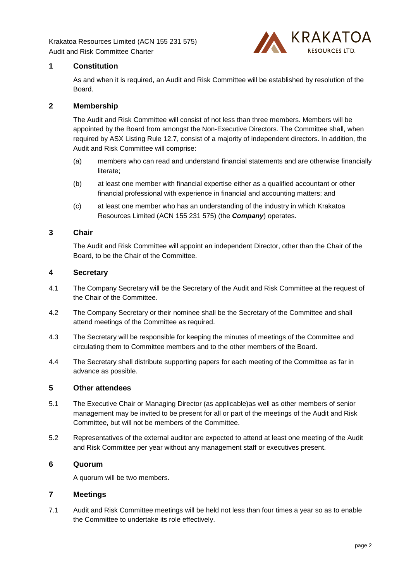

## <span id="page-2-0"></span>**1 Constitution**

As and when it is required, an Audit and Risk Committee will be established by resolution of the **Board** 

## <span id="page-2-1"></span>**2 Membership**

The Audit and Risk Committee will consist of not less than three members. Members will be appointed by the Board from amongst the Non-Executive Directors. The Committee shall, when required by ASX Listing Rule 12.7, consist of a majority of independent directors. In addition, the Audit and Risk Committee will comprise:

- (a) members who can read and understand financial statements and are otherwise financially literate;
- (b) at least one member with financial expertise either as a qualified accountant or other financial professional with experience in financial and accounting matters; and
- (c) at least one member who has an understanding of the industry in which Krakatoa Resources Limited (ACN 155 231 575) (the *Company*) operates.

#### <span id="page-2-2"></span>**3 Chair**

The Audit and Risk Committee will appoint an independent Director, other than the Chair of the Board, to be the Chair of the Committee.

## <span id="page-2-3"></span>**4 Secretary**

- 4.1 The Company Secretary will be the Secretary of the Audit and Risk Committee at the request of the Chair of the Committee.
- 4.2 The Company Secretary or their nominee shall be the Secretary of the Committee and shall attend meetings of the Committee as required.
- 4.3 The Secretary will be responsible for keeping the minutes of meetings of the Committee and circulating them to Committee members and to the other members of the Board.
- 4.4 The Secretary shall distribute supporting papers for each meeting of the Committee as far in advance as possible.

#### <span id="page-2-4"></span>**5 Other attendees**

- 5.1 The Executive Chair or Managing Director (as applicable)as well as other members of senior management may be invited to be present for all or part of the meetings of the Audit and Risk Committee, but will not be members of the Committee.
- 5.2 Representatives of the external auditor are expected to attend at least one meeting of the Audit and Risk Committee per year without any management staff or executives present.

# <span id="page-2-5"></span>**6 Quorum**

A quorum will be two members.

## <span id="page-2-6"></span>**7 Meetings**

7.1 Audit and Risk Committee meetings will be held not less than four times a year so as to enable the Committee to undertake its role effectively.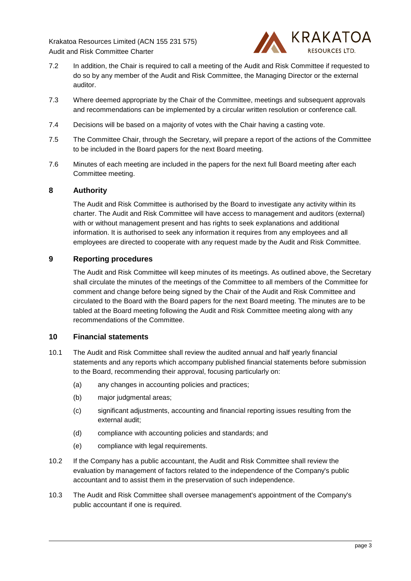

- 7.2 In addition, the Chair is required to call a meeting of the Audit and Risk Committee if requested to do so by any member of the Audit and Risk Committee, the Managing Director or the external auditor.
- 7.3 Where deemed appropriate by the Chair of the Committee, meetings and subsequent approvals and recommendations can be implemented by a circular written resolution or conference call.
- 7.4 Decisions will be based on a majority of votes with the Chair having a casting vote.
- 7.5 The Committee Chair, through the Secretary, will prepare a report of the actions of the Committee to be included in the Board papers for the next Board meeting.
- 7.6 Minutes of each meeting are included in the papers for the next full Board meeting after each Committee meeting.

## <span id="page-3-0"></span>**8 Authority**

The Audit and Risk Committee is authorised by the Board to investigate any activity within its charter. The Audit and Risk Committee will have access to management and auditors (external) with or without management present and has rights to seek explanations and additional information. It is authorised to seek any information it requires from any employees and all employees are directed to cooperate with any request made by the Audit and Risk Committee.

## <span id="page-3-1"></span>**9 Reporting procedures**

The Audit and Risk Committee will keep minutes of its meetings. As outlined above, the Secretary shall circulate the minutes of the meetings of the Committee to all members of the Committee for comment and change before being signed by the Chair of the Audit and Risk Committee and circulated to the Board with the Board papers for the next Board meeting. The minutes are to be tabled at the Board meeting following the Audit and Risk Committee meeting along with any recommendations of the Committee.

#### <span id="page-3-2"></span>**10 Financial statements**

- 10.1 The Audit and Risk Committee shall review the audited annual and half yearly financial statements and any reports which accompany published financial statements before submission to the Board, recommending their approval, focusing particularly on:
	- (a) any changes in accounting policies and practices;
	- (b) major judgmental areas;
	- (c) significant adjustments, accounting and financial reporting issues resulting from the external audit;
	- (d) compliance with accounting policies and standards; and
	- (e) compliance with legal requirements.
- 10.2 If the Company has a public accountant, the Audit and Risk Committee shall review the evaluation by management of factors related to the independence of the Company's public accountant and to assist them in the preservation of such independence.
- 10.3 The Audit and Risk Committee shall oversee management's appointment of the Company's public accountant if one is required.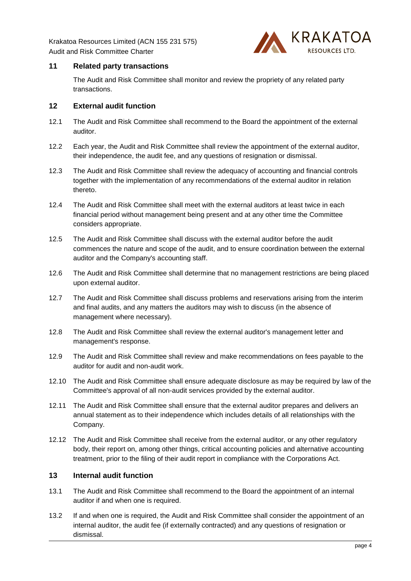

## <span id="page-4-0"></span>**11 Related party transactions**

The Audit and Risk Committee shall monitor and review the propriety of any related party transactions.

## <span id="page-4-1"></span>**12 External audit function**

- 12.1 The Audit and Risk Committee shall recommend to the Board the appointment of the external auditor.
- 12.2 Each year, the Audit and Risk Committee shall review the appointment of the external auditor, their independence, the audit fee, and any questions of resignation or dismissal.
- 12.3 The Audit and Risk Committee shall review the adequacy of accounting and financial controls together with the implementation of any recommendations of the external auditor in relation thereto.
- 12.4 The Audit and Risk Committee shall meet with the external auditors at least twice in each financial period without management being present and at any other time the Committee considers appropriate.
- 12.5 The Audit and Risk Committee shall discuss with the external auditor before the audit commences the nature and scope of the audit, and to ensure coordination between the external auditor and the Company's accounting staff.
- 12.6 The Audit and Risk Committee shall determine that no management restrictions are being placed upon external auditor.
- 12.7 The Audit and Risk Committee shall discuss problems and reservations arising from the interim and final audits, and any matters the auditors may wish to discuss (in the absence of management where necessary).
- 12.8 The Audit and Risk Committee shall review the external auditor's management letter and management's response.
- 12.9 The Audit and Risk Committee shall review and make recommendations on fees payable to the auditor for audit and non-audit work.
- 12.10 The Audit and Risk Committee shall ensure adequate disclosure as may be required by law of the Committee's approval of all non-audit services provided by the external auditor.
- 12.11 The Audit and Risk Committee shall ensure that the external auditor prepares and delivers an annual statement as to their independence which includes details of all relationships with the Company.
- 12.12 The Audit and Risk Committee shall receive from the external auditor, or any other regulatory body, their report on, among other things, critical accounting policies and alternative accounting treatment, prior to the filing of their audit report in compliance with the Corporations Act.

## <span id="page-4-2"></span>**13 Internal audit function**

- 13.1 The Audit and Risk Committee shall recommend to the Board the appointment of an internal auditor if and when one is required.
- 13.2 If and when one is required, the Audit and Risk Committee shall consider the appointment of an internal auditor, the audit fee (if externally contracted) and any questions of resignation or dismissal.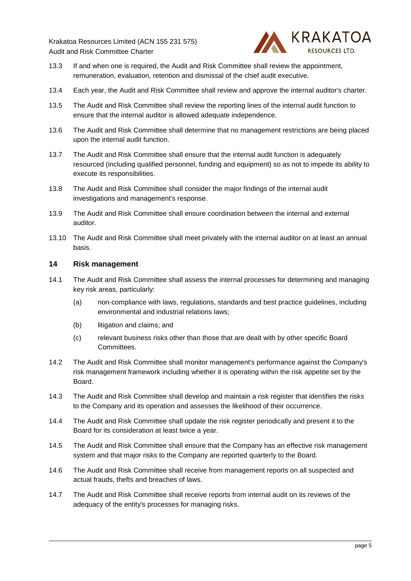

- 13.3 If and when one is required, the Audit and Risk Committee shall review the appointment, remuneration, evaluation, retention and dismissal of the chief audit executive.
- 13.4 Each year, the Audit and Risk Committee shall review and approve the internal auditor's charter.
- 13.5 The Audit and Risk Committee shall review the reporting lines of the internal audit function to ensure that the internal auditor is allowed adequate independence.
- 13.6 The Audit and Risk Committee shall determine that no management restrictions are being placed upon the internal audit function.
- 13.7 The Audit and Risk Committee shall ensure that the internal audit function is adequately resourced (including qualified personnel, funding and equipment) so as not to impede its ability to execute its responsibilities.
- 13.8 The Audit and Risk Committee shall consider the major findings of the internal audit investigations and management's response.
- 13.9 The Audit and Risk Committee shall ensure coordination between the internal and external auditor.
- 13.10 The Audit and Risk Committee shall meet privately with the internal auditor on at least an annual basis.

#### <span id="page-5-0"></span>**14 Risk management**

- 14.1 The Audit and Risk Committee shall assess the internal processes for determining and managing key risk areas, particularly:
	- (a) non-compliance with laws, regulations, standards and best practice guidelines, including environmental and industrial relations laws;
	- (b) litigation and claims; and
	- (c) relevant business risks other than those that are dealt with by other specific Board Committees.
- 14.2 The Audit and Risk Committee shall monitor management's performance against the Company's risk management framework including whether it is operating within the risk appetite set by the Board.
- 14.3 The Audit and Risk Committee shall develop and maintain a risk register that identifies the risks to the Company and its operation and assesses the likelihood of their occurrence.
- 14.4 The Audit and Risk Committee shall update the risk register periodically and present it to the Board for its consideration at least twice a year.
- 14.5 The Audit and Risk Committee shall ensure that the Company has an effective risk management system and that major risks to the Company are reported quarterly to the Board.
- 14.6 The Audit and Risk Committee shall receive from management reports on all suspected and actual frauds, thefts and breaches of laws.
- 14.7 The Audit and Risk Committee shall receive reports from internal audit on its reviews of the adequacy of the entity's processes for managing risks.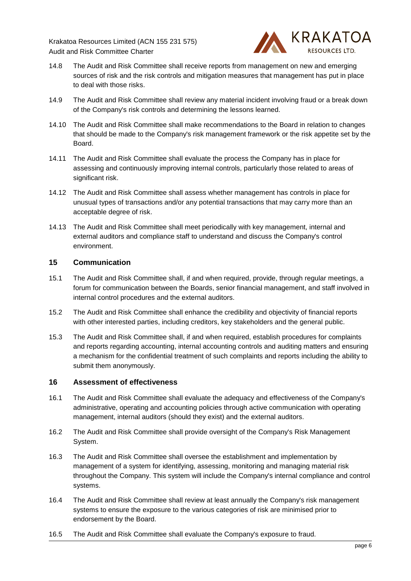

- 14.8 The Audit and Risk Committee shall receive reports from management on new and emerging sources of risk and the risk controls and mitigation measures that management has put in place to deal with those risks.
- 14.9 The Audit and Risk Committee shall review any material incident involving fraud or a break down of the Company's risk controls and determining the lessons learned.
- 14.10 The Audit and Risk Committee shall make recommendations to the Board in relation to changes that should be made to the Company's risk management framework or the risk appetite set by the Board.
- 14.11 The Audit and Risk Committee shall evaluate the process the Company has in place for assessing and continuously improving internal controls, particularly those related to areas of significant risk.
- 14.12 The Audit and Risk Committee shall assess whether management has controls in place for unusual types of transactions and/or any potential transactions that may carry more than an acceptable degree of risk.
- 14.13 The Audit and Risk Committee shall meet periodically with key management, internal and external auditors and compliance staff to understand and discuss the Company's control environment.

## <span id="page-6-0"></span>**15 Communication**

- 15.1 The Audit and Risk Committee shall, if and when required, provide, through regular meetings, a forum for communication between the Boards, senior financial management, and staff involved in internal control procedures and the external auditors.
- 15.2 The Audit and Risk Committee shall enhance the credibility and objectivity of financial reports with other interested parties, including creditors, key stakeholders and the general public.
- 15.3 The Audit and Risk Committee shall, if and when required, establish procedures for complaints and reports regarding accounting, internal accounting controls and auditing matters and ensuring a mechanism for the confidential treatment of such complaints and reports including the ability to submit them anonymously.

## <span id="page-6-1"></span>**16 Assessment of effectiveness**

- 16.1 The Audit and Risk Committee shall evaluate the adequacy and effectiveness of the Company's administrative, operating and accounting policies through active communication with operating management, internal auditors (should they exist) and the external auditors.
- 16.2 The Audit and Risk Committee shall provide oversight of the Company's Risk Management System.
- 16.3 The Audit and Risk Committee shall oversee the establishment and implementation by management of a system for identifying, assessing, monitoring and managing material risk throughout the Company. This system will include the Company's internal compliance and control systems.
- 16.4 The Audit and Risk Committee shall review at least annually the Company's risk management systems to ensure the exposure to the various categories of risk are minimised prior to endorsement by the Board.
- 16.5 The Audit and Risk Committee shall evaluate the Company's exposure to fraud.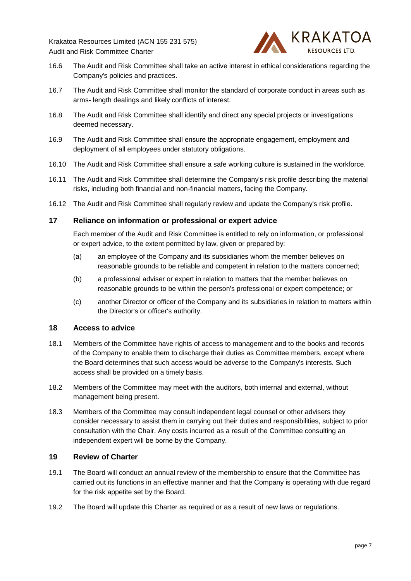

- 16.6 The Audit and Risk Committee shall take an active interest in ethical considerations regarding the Company's policies and practices.
- 16.7 The Audit and Risk Committee shall monitor the standard of corporate conduct in areas such as arms- length dealings and likely conflicts of interest.
- 16.8 The Audit and Risk Committee shall identify and direct any special projects or investigations deemed necessary.
- 16.9 The Audit and Risk Committee shall ensure the appropriate engagement, employment and deployment of all employees under statutory obligations.
- 16.10 The Audit and Risk Committee shall ensure a safe working culture is sustained in the workforce.
- 16.11 The Audit and Risk Committee shall determine the Company's risk profile describing the material risks, including both financial and non-financial matters, facing the Company.
- 16.12 The Audit and Risk Committee shall regularly review and update the Company's risk profile.

#### <span id="page-7-0"></span>**17 Reliance on information or professional or expert advice**

Each member of the Audit and Risk Committee is entitled to rely on information, or professional or expert advice, to the extent permitted by law, given or prepared by:

- (a) an employee of the Company and its subsidiaries whom the member believes on reasonable grounds to be reliable and competent in relation to the matters concerned;
- (b) a professional adviser or expert in relation to matters that the member believes on reasonable grounds to be within the person's professional or expert competence; or
- (c) another Director or officer of the Company and its subsidiaries in relation to matters within the Director's or officer's authority.

#### <span id="page-7-1"></span>**18 Access to advice**

- 18.1 Members of the Committee have rights of access to management and to the books and records of the Company to enable them to discharge their duties as Committee members, except where the Board determines that such access would be adverse to the Company's interests. Such access shall be provided on a timely basis.
- 18.2 Members of the Committee may meet with the auditors, both internal and external, without management being present.
- 18.3 Members of the Committee may consult independent legal counsel or other advisers they consider necessary to assist them in carrying out their duties and responsibilities, subject to prior consultation with the Chair. Any costs incurred as a result of the Committee consulting an independent expert will be borne by the Company.

## <span id="page-7-2"></span>**19 Review of Charter**

- 19.1 The Board will conduct an annual review of the membership to ensure that the Committee has carried out its functions in an effective manner and that the Company is operating with due regard for the risk appetite set by the Board.
- 19.2 The Board will update this Charter as required or as a result of new laws or regulations.